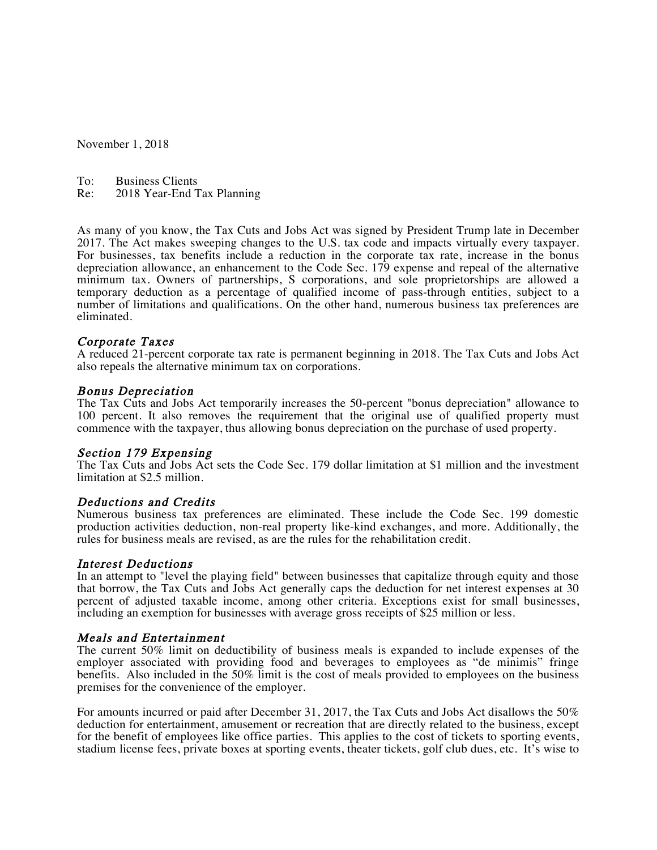November 1, 2018

To: Business Clients<br>Re: 2018 Year-End T

2018 Year-End Tax Planning

As many of you know, the Tax Cuts and Jobs Act was signed by President Trump late in December 2017. The Act makes sweeping changes to the U.S. tax code and impacts virtually every taxpayer. For businesses, tax benefits include a reduction in the corporate tax rate, increase in the bonus depreciation allowance, an enhancement to the Code Sec. 179 expense and repeal of the alternative minimum tax. Owners of partnerships, S corporations, and sole proprietorships are allowed a temporary deduction as a percentage of qualified income of pass-through entities, subject to a number of limitations and qualifications. On the other hand, numerous business tax preferences are eliminated.

#### Corporate Taxes

A reduced 21-percent corporate tax rate is permanent beginning in 2018. The Tax Cuts and Jobs Act also repeals the alternative minimum tax on corporations.

#### Bonus Depreciation

The Tax Cuts and Jobs Act temporarily increases the 50-percent "bonus depreciation" allowance to 100 percent. It also removes the requirement that the original use of qualified property must commence with the taxpayer, thus allowing bonus depreciation on the purchase of used property.

# Section 179 Expensing

The Tax Cuts and Jobs Act sets the Code Sec. 179 dollar limitation at \$1 million and the investment limitation at \$2.5 million.

#### Deductions and Credits

Numerous business tax preferences are eliminated. These include the Code Sec. 199 domestic production activities deduction, non-real property like-kind exchanges, and more. Additionally, the rules for business meals are revised, as are the rules for the rehabilitation credit.

#### Interest Deductions

In an attempt to "level the playing field" between businesses that capitalize through equity and those that borrow, the Tax Cuts and Jobs Act generally caps the deduction for net interest expenses at 30 percent of adjusted taxable income, among other criteria. Exceptions exist for small businesses, including an exemption for businesses with average gross receipts of \$25 million or less.

#### Meals and Entertainment

The current 50% limit on deductibility of business meals is expanded to include expenses of the employer associated with providing food and beverages to employees as "de minimis" fringe benefits. Also included in the 50% limit is the cost of meals provided to employees on the business premises for the convenience of the employer.

For amounts incurred or paid after December 31, 2017, the Tax Cuts and Jobs Act disallows the 50% deduction for entertainment, amusement or recreation that are directly related to the business, except for the benefit of employees like office parties. This applies to the cost of tickets to sporting events, stadium license fees, private boxes at sporting events, theater tickets, golf club dues, etc. It's wise to